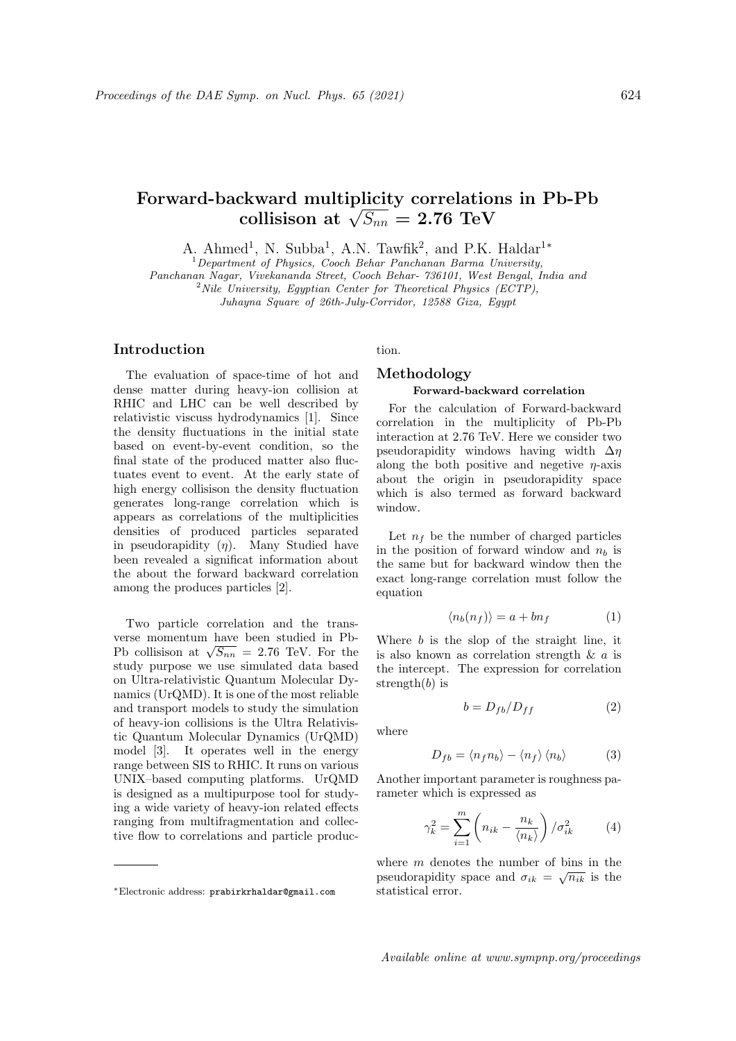# Forward-backward multiplicity correlations in Pb-Pb ckward multiplicity correlation:<br>collisison at  $\sqrt{S_{nn}}=2.76\;\text{TeV}$

A. Ahmed<sup>1</sup>, N. Subba<sup>1</sup>, A.N. Tawfik<sup>2</sup>, and P.K. Haldar<sup>1\*</sup>

 $1$ Department of Physics, Cooch Behar Panchanan Barma University, Panchanan Nagar, Vivekananda Street, Cooch Behar- 736101, West Bengal, India and

<sup>2</sup>Nile University, Egyptian Center for Theoretical Physics (ECTP),

Juhayna Square of 26th-July-Corridor, 12588 Giza, Egypt

## Introduction

The evaluation of space-time of hot and dense matter during heavy-ion collision at RHIC and LHC can be well described by relativistic viscuss hydrodynamics [1]. Since the density fluctuations in the initial state based on event-by-event condition, so the final state of the produced matter also fluctuates event to event. At the early state of high energy collisison the density fluctuation generates long-range correlation which is appears as correlations of the multiplicities densities of produced particles separated in pseudorapidity  $(\eta)$ . Many Studied have been revealed a significat information about the about the forward backward correlation among the produces particles [2].

Two particle correlation and the transverse momentum have been studied in Pbverse momentum nave been studied in Pb-<br>Pb collisison at  $\sqrt{S_{nn}} = 2.76$  TeV. For the study purpose we use simulated data based on Ultra-relativistic Quantum Molecular Dynamics (UrQMD). It is one of the most reliable and transport models to study the simulation of heavy-ion collisions is the Ultra Relativistic Quantum Molecular Dynamics (UrQMD) model [3]. It operates well in the energy range between SIS to RHIC. It runs on various UNIX–based computing platforms. UrQMD is designed as a multipurpose tool for studying a wide variety of heavy-ion related effects ranging from multifragmentation and collective flow to correlations and particle production.

# Methodology

#### Forward-backward correlation

For the calculation of Forward-backward correlation in the multiplicity of Pb-Pb interaction at 2.76 TeV. Here we consider two pseudorapidity windows having width  $\Delta \eta$ along the both positive and negetive  $\eta$ -axis about the origin in pseudorapidity space which is also termed as forward backward window.

Let  $n_f$  be the number of charged particles in the position of forward window and  $n_b$  is the same but for backward window then the exact long-range correlation must follow the equation

$$
\langle n_b(n_f) \rangle = a + bn_f \tag{1}
$$

Where  $b$  is the slop of the straight line, it is also known as correlation strength  $\& a$  is the intercept. The expression for correlation strength $(b)$  is

$$
b = D_{fb}/D_{ff} \tag{2}
$$

where

$$
D_{fb} = \langle n_f n_b \rangle - \langle n_f \rangle \langle n_b \rangle \tag{3}
$$

Another important parameter is roughness parameter which is expressed as

$$
\gamma_k^2 = \sum_{i=1}^m \left( n_{ik} - \frac{n_k}{\langle n_k \rangle} \right) / \sigma_{ik}^2 \tag{4}
$$

where m denotes the number of bins in the pseudorapidity space and  $\sigma_{ik} = \sqrt{n_{ik}}$  is the statistical error.

Available online at www.sympnp.org/proceedings

<sup>∗</sup>Electronic address: prabirkrhaldar@gmail.com